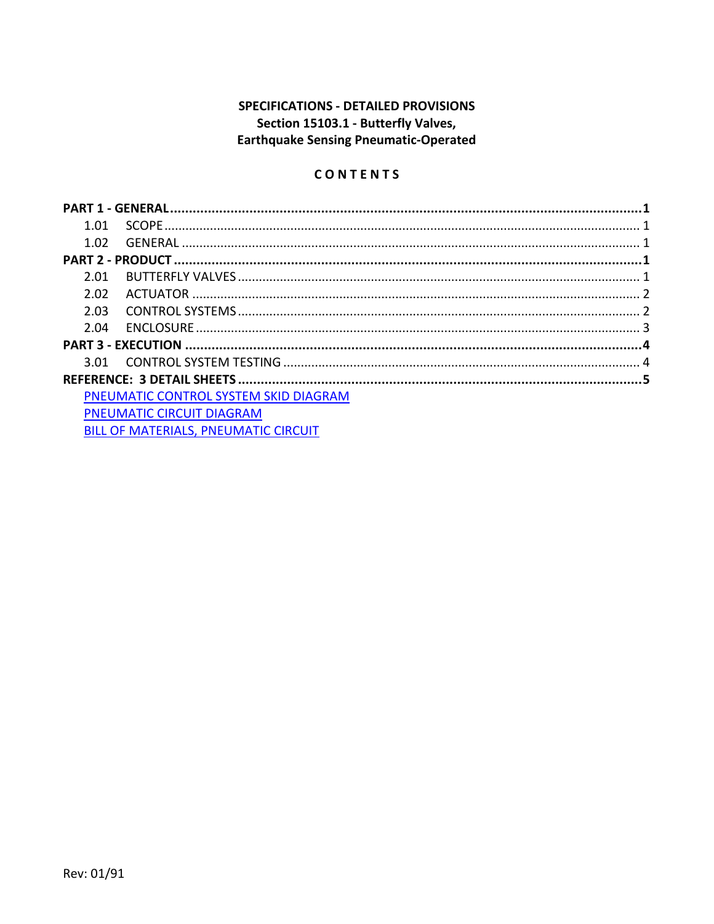## SPECIFICATIONS - DETAILED PROVISIONS Section 15103.1 - Butterfly Valves, **Earthquake Sensing Pneumatic-Operated**

# CONTENTS

| 1.01                             |                                              |  |  |  |
|----------------------------------|----------------------------------------------|--|--|--|
| 1.02                             |                                              |  |  |  |
|                                  |                                              |  |  |  |
| 2.01                             |                                              |  |  |  |
| 2.02                             |                                              |  |  |  |
| 2.03                             |                                              |  |  |  |
| 2.04                             |                                              |  |  |  |
|                                  |                                              |  |  |  |
|                                  |                                              |  |  |  |
|                                  |                                              |  |  |  |
|                                  | PNEUMATIC CONTROL SYSTEM SKID DIAGRAM        |  |  |  |
| <b>PNEUMATIC CIRCUIT DIAGRAM</b> |                                              |  |  |  |
|                                  | <b>RILL OF MATERIALS PNELIMATIC CIRCLIIT</b> |  |  |  |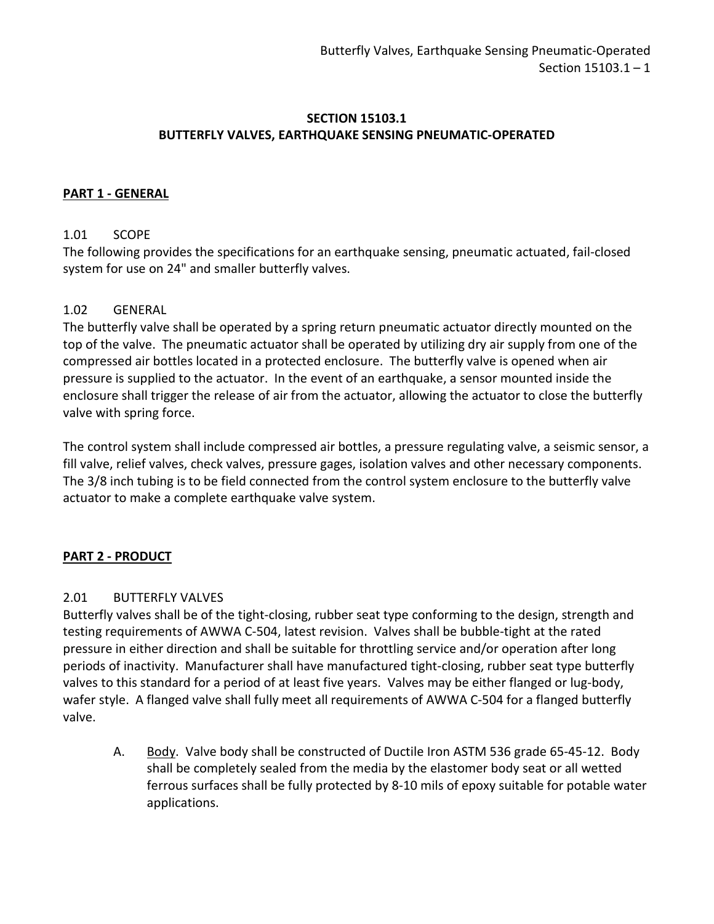## **SECTION 15103.1 BUTTERFLY VALVES, EARTHQUAKE SENSING PNEUMATIC-OPERATED**

## <span id="page-2-0"></span>**PART 1 - GENERAL**

## <span id="page-2-1"></span>1.01 SCOPE

The following provides the specifications for an earthquake sensing, pneumatic actuated, fail-closed system for use on 24" and smaller butterfly valves.

## <span id="page-2-2"></span>1.02 GENERAL

The butterfly valve shall be operated by a spring return pneumatic actuator directly mounted on the top of the valve. The pneumatic actuator shall be operated by utilizing dry air supply from one of the compressed air bottles located in a protected enclosure. The butterfly valve is opened when air pressure is supplied to the actuator. In the event of an earthquake, a sensor mounted inside the enclosure shall trigger the release of air from the actuator, allowing the actuator to close the butterfly valve with spring force.

The control system shall include compressed air bottles, a pressure regulating valve, a seismic sensor, a fill valve, relief valves, check valves, pressure gages, isolation valves and other necessary components. The 3/8 inch tubing is to be field connected from the control system enclosure to the butterfly valve actuator to make a complete earthquake valve system.

## <span id="page-2-3"></span>**PART 2 - PRODUCT**

### <span id="page-2-4"></span>2.01 BUTTERFLY VALVES

Butterfly valves shall be of the tight-closing, rubber seat type conforming to the design, strength and testing requirements of AWWA C-504, latest revision. Valves shall be bubble-tight at the rated pressure in either direction and shall be suitable for throttling service and/or operation after long periods of inactivity. Manufacturer shall have manufactured tight-closing, rubber seat type butterfly valves to this standard for a period of at least five years. Valves may be either flanged or lug-body, wafer style. A flanged valve shall fully meet all requirements of AWWA C-504 for a flanged butterfly valve.

A. Body. Valve body shall be constructed of Ductile Iron ASTM 536 grade 65-45-12. Body shall be completely sealed from the media by the elastomer body seat or all wetted ferrous surfaces shall be fully protected by 8-10 mils of epoxy suitable for potable water applications.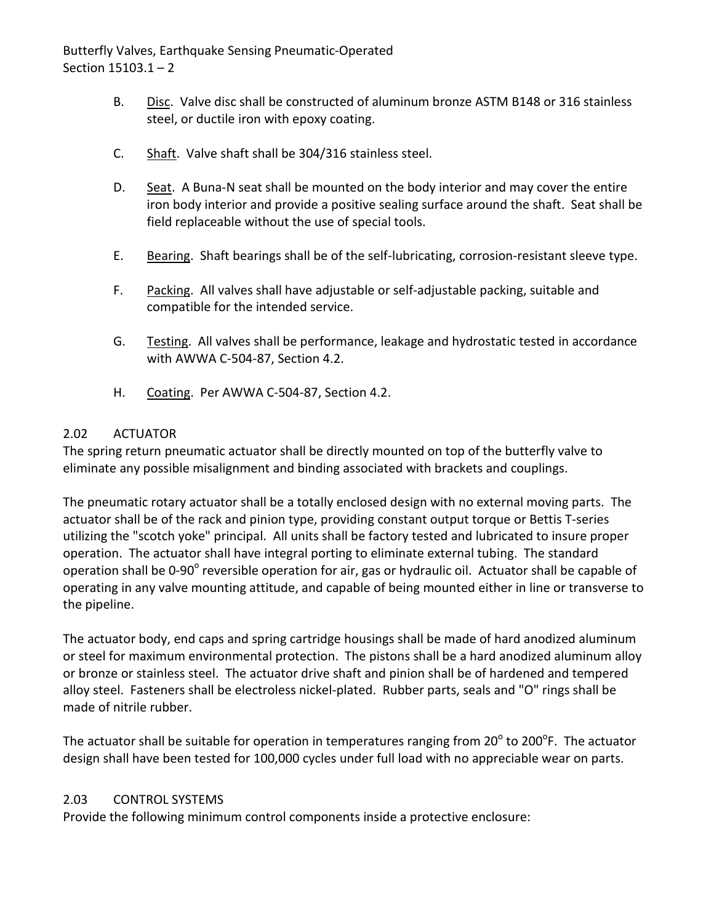Butterfly Valves, Earthquake Sensing Pneumatic-Operated Section 15103.1 – 2

- B. Disc. Valve disc shall be constructed of aluminum bronze ASTM B148 or 316 stainless steel, or ductile iron with epoxy coating.
- C. Shaft. Valve shaft shall be 304/316 stainless steel.
- D. Seat. A Buna-N seat shall be mounted on the body interior and may cover the entire iron body interior and provide a positive sealing surface around the shaft. Seat shall be field replaceable without the use of special tools.
- E. Bearing. Shaft bearings shall be of the self-lubricating, corrosion-resistant sleeve type.
- F. Packing. All valves shall have adjustable or self-adjustable packing, suitable and compatible for the intended service.
- G. Testing. All valves shall be performance, leakage and hydrostatic tested in accordance with AWWA C-504-87, Section 4.2.
- H. Coating. Per AWWA C-504-87, Section 4.2.

## <span id="page-3-0"></span>2.02 ACTUATOR

The spring return pneumatic actuator shall be directly mounted on top of the butterfly valve to eliminate any possible misalignment and binding associated with brackets and couplings.

The pneumatic rotary actuator shall be a totally enclosed design with no external moving parts. The actuator shall be of the rack and pinion type, providing constant output torque or Bettis T-series utilizing the "scotch yoke" principal. All units shall be factory tested and lubricated to insure proper operation. The actuator shall have integral porting to eliminate external tubing. The standard operation shall be 0-90° reversible operation for air, gas or hydraulic oil. Actuator shall be capable of operating in any valve mounting attitude, and capable of being mounted either in line or transverse to the pipeline.

The actuator body, end caps and spring cartridge housings shall be made of hard anodized aluminum or steel for maximum environmental protection. The pistons shall be a hard anodized aluminum alloy or bronze or stainless steel. The actuator drive shaft and pinion shall be of hardened and tempered alloy steel. Fasteners shall be electroless nickel-plated. Rubber parts, seals and "O" rings shall be made of nitrile rubber.

The actuator shall be suitable for operation in temperatures ranging from 20 $^{\circ}$  to 200 $^{\circ}$ F. The actuator design shall have been tested for 100,000 cycles under full load with no appreciable wear on parts.

## <span id="page-3-1"></span>2.03 CONTROL SYSTEMS

Provide the following minimum control components inside a protective enclosure: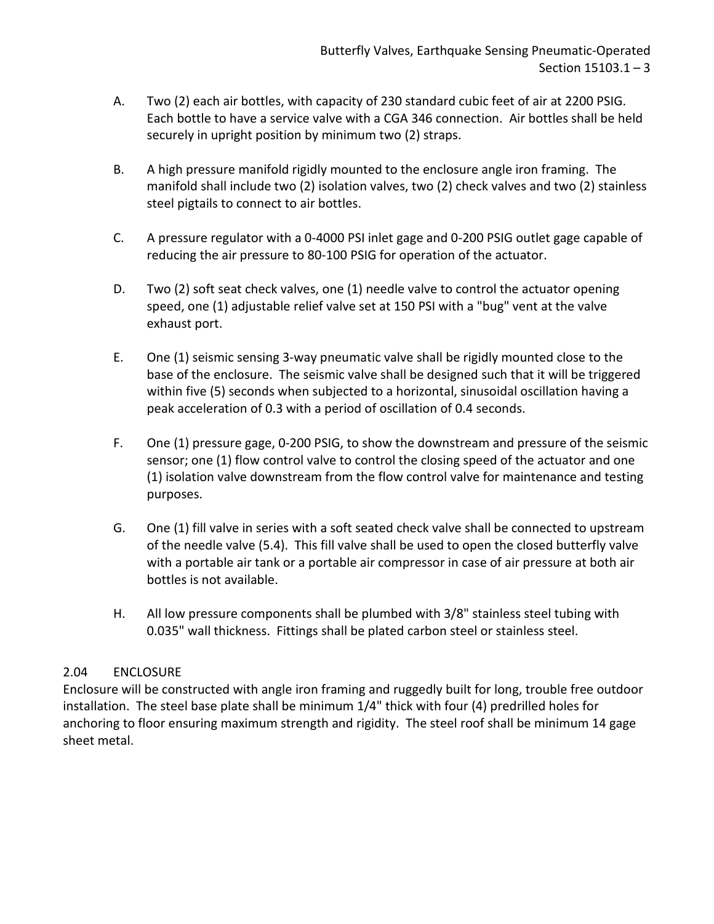- A. Two (2) each air bottles, with capacity of 230 standard cubic feet of air at 2200 PSIG. Each bottle to have a service valve with a CGA 346 connection. Air bottles shall be held securely in upright position by minimum two (2) straps.
- B. A high pressure manifold rigidly mounted to the enclosure angle iron framing. The manifold shall include two (2) isolation valves, two (2) check valves and two (2) stainless steel pigtails to connect to air bottles.
- C. A pressure regulator with a 0-4000 PSI inlet gage and 0-200 PSIG outlet gage capable of reducing the air pressure to 80-100 PSIG for operation of the actuator.
- D. Two (2) soft seat check valves, one (1) needle valve to control the actuator opening speed, one (1) adjustable relief valve set at 150 PSI with a "bug" vent at the valve exhaust port.
- E. One (1) seismic sensing 3-way pneumatic valve shall be rigidly mounted close to the base of the enclosure. The seismic valve shall be designed such that it will be triggered within five (5) seconds when subjected to a horizontal, sinusoidal oscillation having a peak acceleration of 0.3 with a period of oscillation of 0.4 seconds.
- F. One (1) pressure gage, 0-200 PSIG, to show the downstream and pressure of the seismic sensor; one (1) flow control valve to control the closing speed of the actuator and one (1) isolation valve downstream from the flow control valve for maintenance and testing purposes.
- G. One (1) fill valve in series with a soft seated check valve shall be connected to upstream of the needle valve (5.4). This fill valve shall be used to open the closed butterfly valve with a portable air tank or a portable air compressor in case of air pressure at both air bottles is not available.
- H. All low pressure components shall be plumbed with 3/8" stainless steel tubing with 0.035" wall thickness. Fittings shall be plated carbon steel or stainless steel.

## <span id="page-4-0"></span>2.04 ENCLOSURE

Enclosure will be constructed with angle iron framing and ruggedly built for long, trouble free outdoor installation. The steel base plate shall be minimum 1/4" thick with four (4) predrilled holes for anchoring to floor ensuring maximum strength and rigidity. The steel roof shall be minimum 14 gage sheet metal.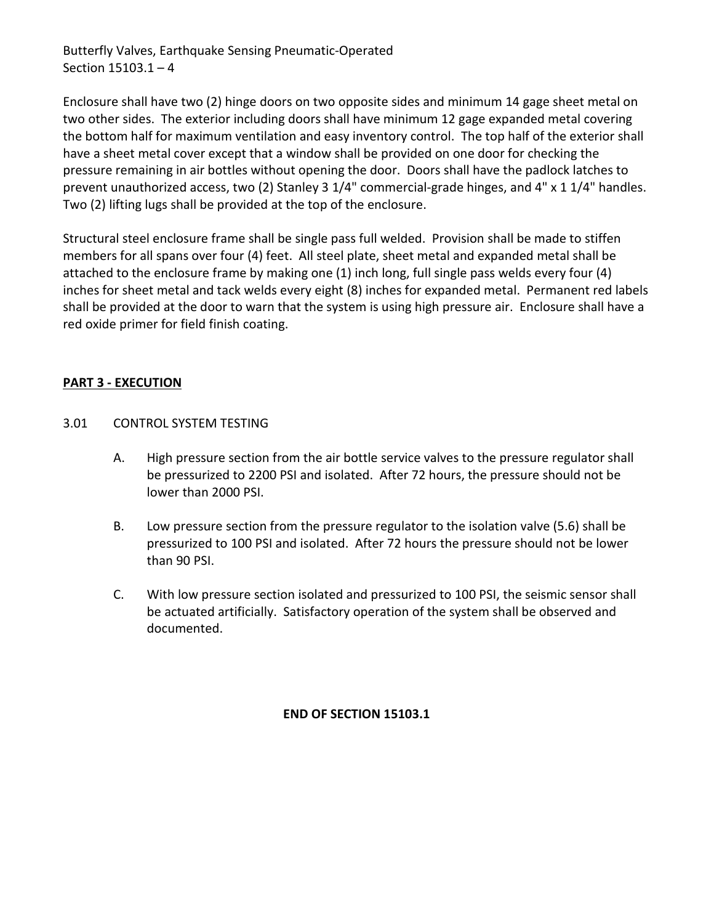Butterfly Valves, Earthquake Sensing Pneumatic-Operated Section 15103.1 – 4

Enclosure shall have two (2) hinge doors on two opposite sides and minimum 14 gage sheet metal on two other sides. The exterior including doors shall have minimum 12 gage expanded metal covering the bottom half for maximum ventilation and easy inventory control. The top half of the exterior shall have a sheet metal cover except that a window shall be provided on one door for checking the pressure remaining in air bottles without opening the door. Doors shall have the padlock latches to prevent unauthorized access, two (2) Stanley 3 1/4" commercial-grade hinges, and 4" x 1 1/4" handles. Two (2) lifting lugs shall be provided at the top of the enclosure.

Structural steel enclosure frame shall be single pass full welded. Provision shall be made to stiffen members for all spans over four (4) feet. All steel plate, sheet metal and expanded metal shall be attached to the enclosure frame by making one (1) inch long, full single pass welds every four (4) inches for sheet metal and tack welds every eight (8) inches for expanded metal. Permanent red labels shall be provided at the door to warn that the system is using high pressure air. Enclosure shall have a red oxide primer for field finish coating.

## <span id="page-5-0"></span>**PART 3 - EXECUTION**

- <span id="page-5-1"></span>3.01 CONTROL SYSTEM TESTING
	- A. High pressure section from the air bottle service valves to the pressure regulator shall be pressurized to 2200 PSI and isolated. After 72 hours, the pressure should not be lower than 2000 PSI.
	- B. Low pressure section from the pressure regulator to the isolation valve (5.6) shall be pressurized to 100 PSI and isolated. After 72 hours the pressure should not be lower than 90 PSI.
	- C. With low pressure section isolated and pressurized to 100 PSI, the seismic sensor shall be actuated artificially. Satisfactory operation of the system shall be observed and documented.

**END OF SECTION 15103.1**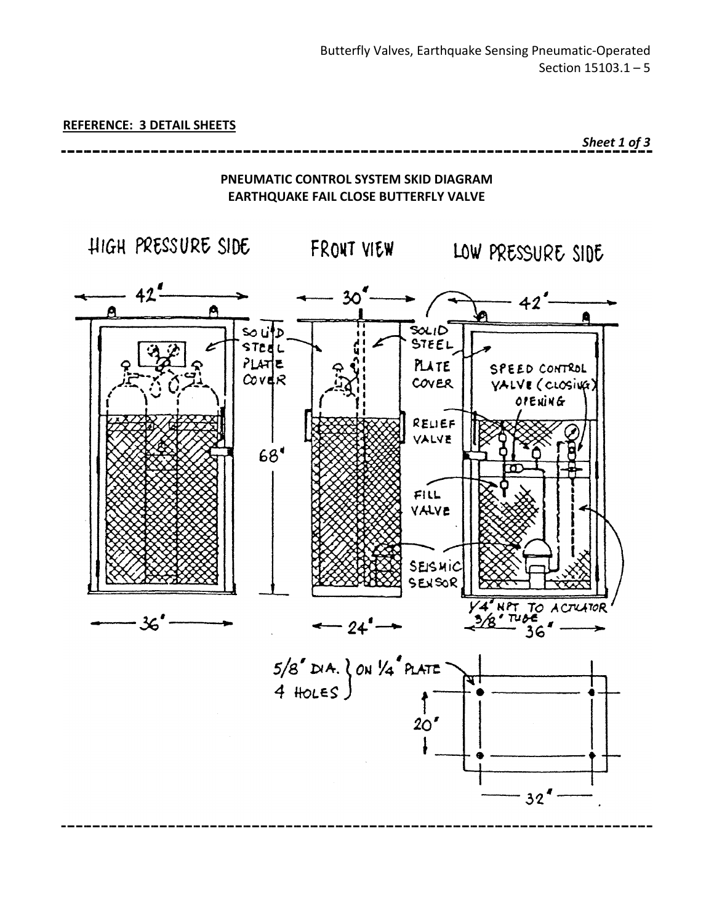<span id="page-6-0"></span>**REFERENCE: 3 DETAIL SHEETS**

*Sheet 1 of 3*



<span id="page-6-1"></span>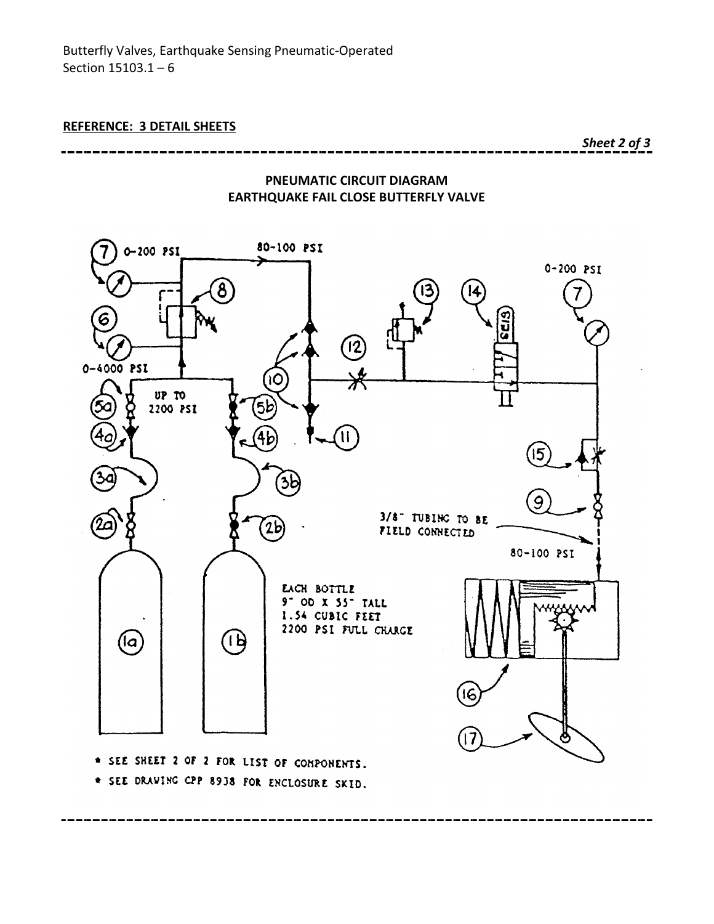*Sheet 2 of 3*



<span id="page-7-0"></span>

\* SEE DRAWING CPP 8938 FOR ENCLOSURE SKID.

----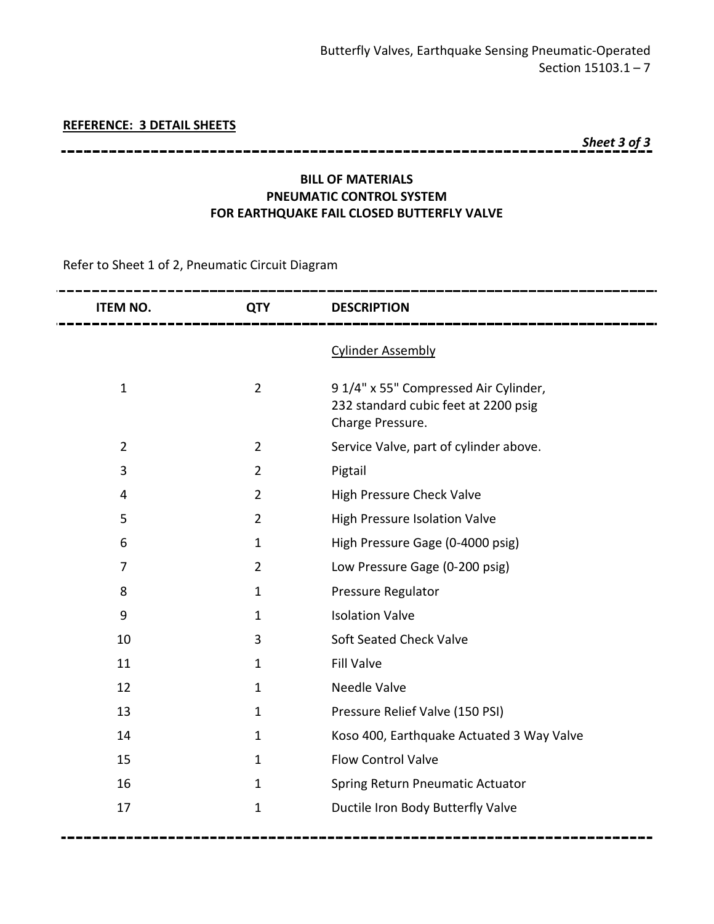#### **REFERENCE: 3 DETAIL SHEETS**

*Sheet 3 of 3*

## **BILL OF MATERIALS PNEUMATIC CONTROL SYSTEM FOR EARTHQUAKE FAIL CLOSED BUTTERFLY VALVE**

Refer to Sheet 1 of 2, Pneumatic Circuit Diagram

| <b>ITEM NO.</b>  | <b>QTY</b>     | <b>DESCRIPTION</b>                                                                               |
|------------------|----------------|--------------------------------------------------------------------------------------------------|
|                  |                | <b>Cylinder Assembly</b>                                                                         |
| $\mathbf{1}$     | $\overline{2}$ | 91/4" x 55" Compressed Air Cylinder,<br>232 standard cubic feet at 2200 psig<br>Charge Pressure. |
| $\overline{2}$   | $\overline{2}$ | Service Valve, part of cylinder above.                                                           |
| 3                | $\overline{2}$ | Pigtail                                                                                          |
| 4                | $\overline{2}$ | <b>High Pressure Check Valve</b>                                                                 |
| 5                | $\overline{2}$ | High Pressure Isolation Valve                                                                    |
| 6                | $\mathbf{1}$   | High Pressure Gage (0-4000 psig)                                                                 |
| 7                | $\overline{2}$ | Low Pressure Gage (0-200 psig)                                                                   |
| 8                | $\mathbf{1}$   | Pressure Regulator                                                                               |
| $\boldsymbol{9}$ | $\mathbf{1}$   | <b>Isolation Valve</b>                                                                           |
| 10               | 3              | Soft Seated Check Valve                                                                          |
| 11               | $\mathbf{1}$   | <b>Fill Valve</b>                                                                                |
| 12               | $\mathbf{1}$   | Needle Valve                                                                                     |
| 13               | 1              | Pressure Relief Valve (150 PSI)                                                                  |
| 14               | $\mathbf{1}$   | Koso 400, Earthquake Actuated 3 Way Valve                                                        |
| 15               | $\mathbf{1}$   | <b>Flow Control Valve</b>                                                                        |
| 16               | 1              | Spring Return Pneumatic Actuator                                                                 |
| 17               | $\mathbf{1}$   | Ductile Iron Body Butterfly Valve                                                                |
|                  |                |                                                                                                  |